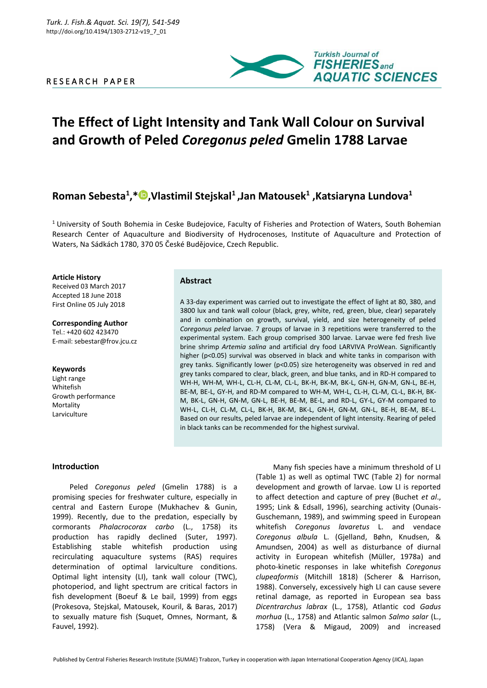## R E S E A R C H P A P E R



# **The Effect of Light Intensity and Tank Wall Colour on Survival and Growth of Peled** *Coregonus peled* **Gmelin 1788 Larvae**

## **Roman Sebesta<sup>1</sup> ,\* ,Vlastimil Stejskal<sup>1</sup>,Jan Matousek<sup>1</sup> ,Katsiaryna Lundova<sup>1</sup>**

<sup>1</sup> University of South Bohemia in Ceske Budejovice, Faculty of Fisheries and Protection of Waters, South Bohemian Research Center of Aquaculture and Biodiversity of Hydrocenoses, Institute of Aquaculture and Protection of Waters, Na Sádkách 1780, 370 05 České Budějovice, Czech Republic.

**Article History**

Received 03 March 2017 Accepted 18 June 2018 First Online 05 July 2018

**Corresponding Author** Tel.: +420 602 423470 E-mail: sebestar@frov.jcu.cz

#### **Keywords**

Light range Whitefish Growth performance Mortality Larviculture

## **Abstract**

A 33-day experiment was carried out to investigate the effect of light at 80, 380, and 3800 lux and tank wall colour (black, grey, white, red, green, blue, clear) separately and in combination on growth, survival, yield, and size heterogeneity of peled *Coregonus peled* larvae. 7 groups of larvae in 3 repetitions were transferred to the experimental system. Each group comprised 300 larvae. Larvae were fed fresh live brine shrimp *Artemia salina* and artificial dry food LARVIVA ProWean. Significantly higher (p<0.05) survival was observed in black and white tanks in comparison with grey tanks. Significantly lower (p<0.05) size heterogeneity was observed in red and grey tanks compared to clear, black, green, and blue tanks, and in RD-H compared to WH-H, WH-M, WH-L, CL-H, CL-M, CL-L, BK-H, BK-M, BK-L, GN-H, GN-M, GN-L, BE-H, BE-M, BE-L, GY-H, and RD-M compared to WH-M, WH-L, CL-H, CL-M, CL-L, BK-H, BK-M, BK-L, GN-H, GN-M, GN-L, BE-H, BE-M, BE-L, and RD-L, GY-L, GY-M compared to WH-L, CL-H, CL-M, CL-L, BK-H, BK-M, BK-L, GN-H, GN-M, GN-L, BE-H, BE-M, BE-L. Based on our results, peled larvae are independent of light intensity. Rearing of peled in black tanks can be recommended for the highest survival.

## **Introduction**

Peled *Coregonus peled* (Gmelin 1788) is a promising species for freshwater culture, especially in central and Eastern Europe (Mukhachev & Gunin, 1999). Recently, due to the predation, especially by cormorants *Phalacrocorax carbo* (L., 1758) its production has rapidly declined (Suter, 1997). Establishing stable whitefish production using recirculating aquaculture systems (RAS) requires determination of optimal larviculture conditions. Optimal light intensity (LI), tank wall colour (TWC), photoperiod, and light spectrum are critical factors in fish development (Boeuf & Le bail, 1999) from eggs (Prokesova, Stejskal, Matousek, Kouril, & Baras, 2017) to sexually mature fish (Suquet, Omnes, Normant, & Fauvel, 1992).

Many fish species have a minimum threshold of LI (Table 1) as well as optimal TWC (Table 2) for normal development and growth of larvae. Low LI is reported to affect detection and capture of prey (Buchet *et al*., 1995; Link & Edsall, 1996), searching activity (Ounais-Guschemann, 1989), and swimming speed in European whitefish *Coregonus lavaretus* L. and vendace *Coregonus albula* L. (Gjelland, Bøhn, Knudsen, & Amundsen, 2004) as well as disturbance of diurnal activity in European whitefish (Müller, 1978a) and photo-kinetic responses in lake whitefish *Coregonus clupeaformis* (Mitchill 1818) (Scherer & Harrison, 1988). Conversely, excessively high LI can cause severe retinal damage, as reported in European sea bass *Dicentrarchus labrax* (L., 1758), Atlantic cod *Gadus morhua* (L., 1758) and Atlantic salmon *Salmo salar* (L., 1758) (Vera & Migaud, 2009) and increased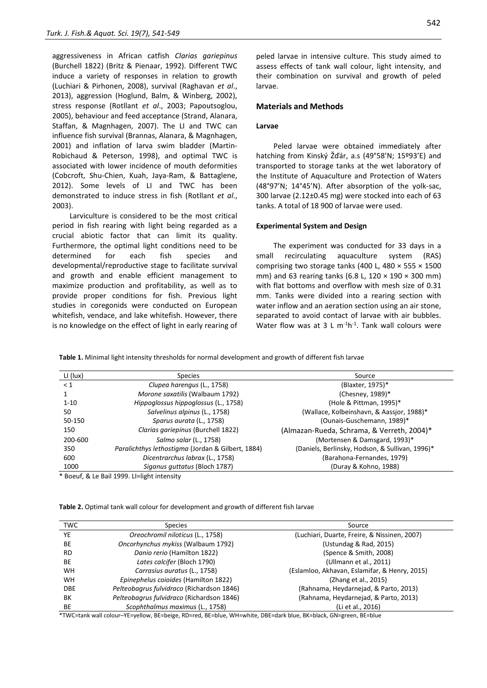aggressiveness in African catfish *Clarias gariepinus* (Burchell 1822) (Britz & Pienaar, 1992). Different TWC induce a variety of responses in relation to growth (Luchiari & Pirhonen, 2008), survival (Raghavan *et al*., 2013), aggression (Hoglund, Balm, & Winberg, 2002), stress response (Rotllant *et al*., 2003; Papoutsoglou, 2005), behaviour and feed acceptance (Strand, Alanara, Staffan, & Magnhagen, 2007). The LI and TWC can influence fish survival (Brannas, Alanara, & Magnhagen, 2001) and inflation of larva swim bladder [\(Martin-](http://www.sciencedirect.com/science/article/pii/S0044848607009003#bib37)[Robichaud & Peterson, 1998\)](http://www.sciencedirect.com/science/article/pii/S0044848607009003#bib37), and optimal TWC is associated with lower incidence of mouth deformities (Cobcroft, Shu-Chien, Kuah, Jaya-Ram, & Battaglene, 2012). Some levels of LI and TWC has been demonstrated to induce stress in fish [\(Rotllant](http://www.sciencedirect.com/science/article/pii/S0044848607009003#bib43) *et al*., [2003\)](http://www.sciencedirect.com/science/article/pii/S0044848607009003#bib43).

Larviculture is considered to be the most critical period in fish rearing with light being regarded as a crucial abiotic factor that can limit its quality. Furthermore, the optimal light conditions need to be determined for each fish species and developmental/reproductive stage to facilitate survival and growth and enable efficient management to maximize production and profitability, as well as to provide proper conditions for fish. Previous light studies in coregonids were conducted on European whitefish, vendace, and lake whitefish. However, there is no knowledge on the effect of light in early rearing of peled larvae in intensive culture. This study aimed to assess effects of tank wall colour, light intensity, and their combination on survival and growth of peled larvae.

### **Materials and Methods**

#### **Larvae**

Peled larvae were obtained immediately after hatching from Kinský Žďár, a.s (49°58'N; 15º93'E) and transported to storage tanks at the wet laboratory of the Institute of Aquaculture and Protection of Waters (48°97'N; 14°45'N). After absorption of the yolk-sac, 300 larvae (2.12±0.45 mg) were stocked into each of 63 tanks. A total of 18 900 of larvae were used.

#### **Experimental System and Design**

The experiment was conducted for 33 days in a small recirculating aquaculture system (RAS) comprising two storage tanks (400 L, 480  $\times$  555  $\times$  1500 mm) and 63 rearing tanks (6.8 L,  $120 \times 190 \times 300$  mm) with flat bottoms and overflow with mesh size of 0.31 mm. Tanks were divided into a rearing section with water inflow and an aeration section using an air stone, separated to avoid contact of larvae with air bubbles. Water flow was at 3 L  $m^{-1}h^{-1}$ . Tank wall colours were

**Table 1.** Minimal light intensity thresholds for normal development and growth of different fish larvae

| LI (lux) | Species                                           | Source                                          |
|----------|---------------------------------------------------|-------------------------------------------------|
| $\leq 1$ | Clupea harengus (L., 1758)                        | (Blaxter, 1975)*                                |
|          | Morone saxatilis (Walbaum 1792)                   | (Chesney, 1989)*                                |
| $1 - 10$ | Hippoglossus hippoglossus (L., 1758)              | (Hole & Pittman, 1995)*                         |
| 50       | Salvelinus alpinus (L., 1758)                     | (Wallace, Kolbeinshavn, & Aassior, 1988)*       |
| 50-150   | Sparus aurata (L., 1758)                          | (Ounais-Guschemann, 1989)*                      |
| 150      | Clarias gariepinus (Burchell 1822)                | (Almazan-Rueda, Schrama, & Verreth, 2004)*      |
| 200-600  | Salmo salar (L., 1758)                            | (Mortensen & Damsgard, 1993)*                   |
| 350      | Paralichthys lethostigma (Jordan & Gilbert, 1884) | (Daniels, Berlinsky, Hodson, & Sullivan, 1996)* |
| 600      | Dicentrarchus labrax (L., 1758)                   | (Barahona-Fernandes, 1979)                      |
| 1000     | Siganus guttatus (Bloch 1787)                     | (Duray & Kohno, 1988)                           |

Boeuf, & Le Bail 1999. LI=light intensity

**Table 2.** Optimal tank wall colour for development and growth of different fish larvae

| <b>TWC</b> | <b>Species</b>                            | Source                                        |  |  |
|------------|-------------------------------------------|-----------------------------------------------|--|--|
| YE         | Oreochromil niloticus (L., 1758)          | (Luchiari, Duarte, Freire, & Nissinen, 2007)  |  |  |
| BE         | Oncorhynchus mykiss (Walbaum 1792)        | (Ustundag & Rad, 2015)                        |  |  |
| <b>RD</b>  | Danio rerio (Hamilton 1822)               | (Spence & Smith, 2008)                        |  |  |
| BE         | Lates calcifer (Bloch 1790)               | (Ullmann et al., 2011)                        |  |  |
| <b>WH</b>  | Carrasius auratus (L., 1758)              | (Eslamloo, Akhavan, Eslamifar, & Henry, 2015) |  |  |
| <b>WH</b>  | Epinephelus coioides (Hamilton 1822)      | (Zhang et al., 2015)                          |  |  |
| <b>DBE</b> | Pelteobagrus fulvidraco (Richardson 1846) | (Rahnama, Heydarnejad, & Parto, 2013)         |  |  |
| ВK         | Pelteobagrus fulvidraco (Richardson 1846) | (Rahnama, Heydarnejad, & Parto, 2013)         |  |  |
| BE         | Scophthalmus maximus (L., 1758)           | (Li et al., 2016)                             |  |  |

\*TWC=tank wall colour–YE=yellow, BE=beige, RD=red, BE=blue, WH=white, DBE=dark blue, BK=black, GN=green, BE=blue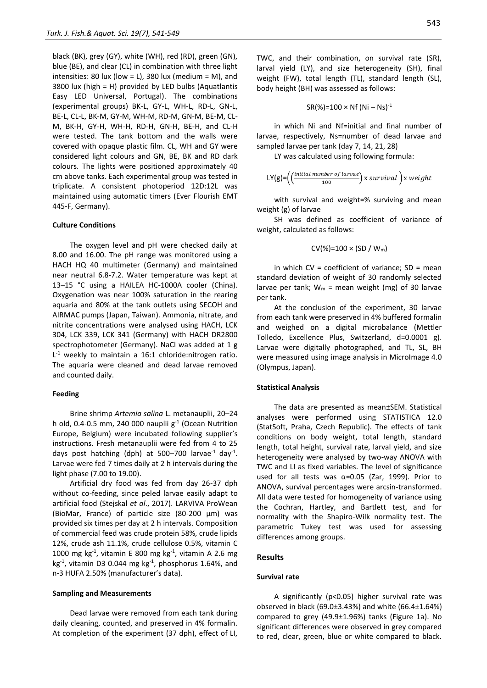black (BK), grey (GY), white (WH), red (RD), green (GN), blue (BE), and clear (CL) in combination with three light intensities: 80 lux (low = L), 380 lux (medium = M), and 3800 lux (high = H) provided by LED bulbs (Aquatlantis Easy LED Universal, Portugal). The combinations (experimental groups) BK-L, GY-L, WH-L, RD-L, GN-L, BE-L, CL-L, BK-M, GY-M, WH-M, RD-M, GN-M, BE-M, CL-M, BK-H, GY-H, WH-H, RD-H, GN-H, BE-H, and CL-H were tested. The tank bottom and the walls were covered with opaque plastic film. CL, WH and GY were considered light colours and GN, BE, BK and RD dark colours. The lights were positioned approximately 40 cm above tanks. Each experimental group was tested in triplicate. A consistent photoperiod 12D:12L was maintained using automatic timers (Ever Flourish EMT 445-F, Germany).

#### **Culture Conditions**

The oxygen level and pH were checked daily at 8.00 and 16.00. The pH range was monitored using a HACH HQ 40 multimeter (Germany) and maintained near neutral 6.8-7.2. Water temperature was kept at 13–15 °C using a HAILEA HC-1000A cooler (China). Oxygenation was near 100% saturation in the rearing aquaria and 80% at the tank outlets using SECOH and AIRMAC pumps (Japan, Taiwan). Ammonia, nitrate, and nitrite concentrations were analysed using HACH, LCK 304, LCK 339, LCK 341 (Germany) with HACH DR2800 spectrophotometer (Germany). NaCl was added at 1 g L<sup>-1</sup> weekly to maintain a 16:1 chloride:nitrogen ratio. The aquaria were cleaned and dead larvae removed and counted daily.

#### **Feeding**

Brine shrimp *Artemia salina* L. metanauplii, 20–24 h old, 0.4-0.5 mm, 240 000 nauplii  $g^{-1}$  (Ocean Nutrition Europe, Belgium) were incubated following supplier's instructions. Fresh metanauplii were fed from 4 to 25 days post hatching (dph) at 500–700 larvae<sup>-1</sup> day<sup>-1</sup>. Larvae were fed 7 times daily at 2 h intervals during the light phase (7.00 to 19.00).

Artificial dry food was fed from day 26-37 dph without co-feeding, since peled larvae easily adapt to artificial food (Stejskal *et al*., 2017). LARVIVA ProWean (BioMar, France) of particle size (80-200 μm) was provided six times per day at 2 h intervals. Composition of commercial feed was crude protein 58%, crude lipids 12%, crude ash 11.1%, crude cellulose 0.5%, vitamin C 1000 mg kg<sup>-1</sup>, vitamin E 800 mg kg<sup>-1</sup>, vitamin A 2.6 mg kg-1 , vitamin D3 0.044 mg kg-1 , phosphorus 1.64%, and n-3 HUFA 2.50% (manufacturer's data).

#### **Sampling and Measurements**

Dead larvae were removed from each tank during daily cleaning, counted, and preserved in 4% formalin. At completion of the experiment (37 dph), effect of LI,  $SR(\%)=100 \times Nf (Ni - Ns)^{-1}$ 

in which Ni and Nf=initial and final number of larvae, respectively, Ns=number of dead larvae and sampled larvae per tank (day 7, 14, 21, 28)

LY was calculated using following formula:

$$
LY(g) = \left( \frac{(initial\ number\ of\ larvae}{100}) \times survival \right) \times weight
$$

with survival and weight=% surviving and mean weight (g) of larvae

SH was defined as coefficient of variance of weight, calculated as follows:

$$
CV(\%)=100 \times (SD / W_m)
$$

in which  $CV = coefficient of variance; SD = mean$ standard deviation of weight of 30 randomly selected larvae per tank;  $W_m$  = mean weight (mg) of 30 larvae per tank.

At the conclusion of the experiment, 30 larvae from each tank were preserved in 4% buffered formalin and weighed on a digital microbalance (Mettler Tolledo, Excellence Plus, Switzerland, d=0.0001 g). Larvae were digitally photographed, and TL, SL, BH were measured using image analysis in MicroImage 4.0 (Olympus, Japan).

#### **Statistical Analysis**

The data are presented as mean±SEM. Statistical analyses were performed using STATISTICA 12.0 (StatSoft, Praha, Czech Republic). The effects of tank conditions on body weight, total length, standard length, total height, survival rate, larval yield, and size heterogeneity were analysed by two-way ANOVA with TWC and LI as fixed variables. The level of significance used for all tests was  $α=0.05$  (Zar, 1999). Prior to ANOVA, survival percentages were arcsin-transformed. All data were tested for homogeneity of variance using the Cochran, Hartley, and Bartlett test, and for normality with the Shapiro-Wilk normality test. The parametric Tukey test was used for assessing differences among groups.

#### **Results**

#### **Survival rate**

A significantly (p<0.05) higher survival rate was observed in black (69.0±3.43%) and white (66.4±1.64%) compared to grey (49.9±1.96%) tanks (Figure 1a). No significant differences were observed in grey compared to red, clear, green, blue or white compared to black.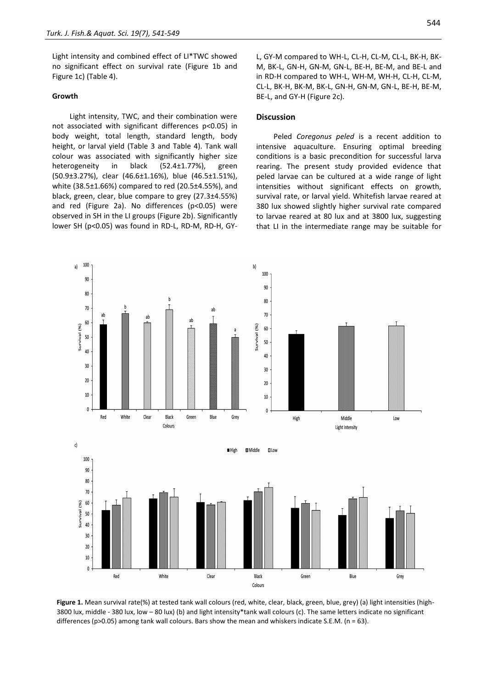Light intensity and combined effect of LI\*TWC showed no significant effect on survival rate (Figure 1b and Figure 1c) (Table 4).

#### **Growth**

Light intensity, TWC, and their combination were not associated with significant differences p<0.05) in body weight, total length, standard length, body height, or larval yield (Table 3 and Table 4). Tank wall colour was associated with significantly higher size heterogeneity in black (52.4±1.77%), green (50.9±3.27%), clear (46.6±1.16%), blue (46.5±1.51%), white (38.5±1.66%) compared to red (20.5±4.55%), and black, green, clear, blue compare to grey (27.3±4.55%) and red (Figure 2a). No differences (p<0.05) were observed in SH in the LI groups (Figure 2b). Significantly lower SH (p<0.05) was found in RD-L, RD-M, RD-H, GY- L, GY-M compared to WH-L, CL-H, CL-M, CL-L, BK-H, BK-M, BK-L, GN-H, GN-M, GN-L, BE-H, BE-M, and BE-L and in RD-H compared to WH-L, WH-M, WH-H, CL-H, CL-M, CL-L, BK-H, BK-M, BK-L, GN-H, GN-M, GN-L, BE-H, BE-M, BE-L, and GY-H (Figure 2c).

## **Discussion**

Peled *Coregonus peled* is a recent addition to intensive aquaculture. Ensuring optimal breeding conditions is a basic precondition for successful larva rearing. The present study provided evidence that peled larvae can be cultured at a wide range of light intensities without significant effects on growth, survival rate, or larval yield. Whitefish larvae reared at 380 lux showed slightly higher survival rate compared to larvae reared at 80 lux and at 3800 lux, suggesting that LI in the intermediate range may be suitable for



**Figure 1.** Mean survival rate(%) at tested tank wall colours (red, white, clear, black, green, blue, grey) (a) light intensities (high-3800 lux, middle - 380 lux, low – 80 lux) (b) and light intensity\*tank wall colours (c). The same letters indicate no significant differences (p>0.05) among tank wall colours. Bars show the mean and whiskers indicate S.E.M. (n = 63).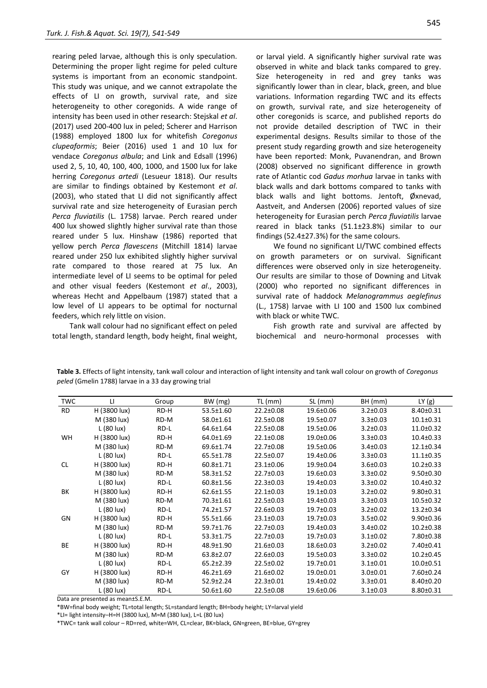rearing peled larvae, although this is only speculation. Determining the proper light regime for peled culture systems is important from an economic standpoint. This study was unique, and we cannot extrapolate the effects of LI on growth, survival rate, and size heterogeneity to other coregonids. A wide range of intensity has been used in other research: Stejskal *et al*. (2017) used 200-400 lux in peled; Scherer and Harrison (1988) employed 1800 lux for whitefish *Coregonus clupeaformis*; Beier (2016) used 1 and 10 lux for vendace *Coregonus albula*; and Link and Edsall (1996) used 2, 5, 10, 40, 100, 400, 1000, and 1500 lux for lake herring *Coregonus artedi* (Lesueur 1818). Our results are similar to findings obtained by Kestemont *et al*. (2003), who stated that LI did not significantly affect survival rate and size heterogeneity of Eurasian perch *Perca fluviatilis* (L. 1758) larvae. Perch reared under 400 lux showed slightly higher survival rate than those reared under 5 lux. Hinshaw (1986) reported that yellow perch *Perca flavescens* (Mitchill 1814) larvae reared under 250 lux exhibited slightly higher survival rate compared to those reared at 75 lux. An intermediate level of LI seems to be optimal for peled and other visual feeders (Kestemont *et al*., 2003), whereas Hecht and Appelbaum (1987) stated that a low level of LI appears to be optimal for nocturnal feeders, which rely little on vision.

Tank wall colour had no significant effect on peled total length, standard length, body height, final weight,

or larval yield. A significantly higher survival rate was observed in white and black tanks compared to grey. Size heterogeneity in red and grey tanks was significantly lower than in clear, black, green, and blue variations. Information regarding TWC and its effects on growth, survival rate, and size heterogeneity of other coregonids is scarce, and published reports do not provide detailed description of TWC in their experimental designs. Results similar to those of the present study regarding growth and size heterogeneity have been reported: Monk, Puvanendran, and Brown (2008) observed no significant difference in growth rate of Atlantic cod *Gadus morhua* larvae in tanks with black walls and dark bottoms compared to tanks with black walls and light bottoms. Jentoft, Øxnevad, Aastveit, and Andersen (2006) reported values of size heterogeneity for Eurasian perch *Perca fluviatilis* larvae reared in black tanks (51.1±23.8%) similar to our findings (52.4±27.3%) for the same colours.

We found no significant LI/TWC combined effects on growth parameters or on survival. Significant differences were observed only in size heterogeneity. Our results are similar to those of Downing and Litvak (2000) who reported no significant differences in survival rate of haddock *Melanogrammus aeglefinus* (L., 1758) larvae with LI 100 and 1500 lux combined with black or white TWC.

Fish growth rate and survival are affected by biochemical and neuro-hormonal processes with

**Table 3.** Effects of light intensity, tank wall colour and interaction of light intensity and tank wall colour on growth of *Coregonus peled* (Gmelin 1788) larvae in a 33 day growing trial

| <b>TWC</b> | u            | Group | BW (mg)         | TL (mm)         | SL(mm)          | BH (mm)        | LY(g)           |
|------------|--------------|-------|-----------------|-----------------|-----------------|----------------|-----------------|
| <b>RD</b>  | H (3800 lux) | RD-H  | 53.5±1.60       | 22.2±0.08       | 19.6±0.06       | $3.2 \pm 0.03$ | 8.40±0.31       |
|            | M (380 lux)  | RD-M  | 58.0±1.61       | 22.5±0.08       | 19.5±0.07       | $3.3 \pm 0.03$ | $10.1 \pm 0.31$ |
|            | L (80 lux)   | RD-L  | 64.6±1.64       | 22.5±0.08       | 19.5±0.06       | $3.2 \pm 0.03$ | 11.0±0.32       |
| <b>WH</b>  | H (3800 lux) | RD-H  | 64.0±1.69       | 22.1±0.08       | 19.0±0.06       | $3.3 \pm 0.03$ | $10.4 \pm 0.33$ |
|            | M (380 lux)  | RD-M  | 69.6±1.74       | 22.7±0.08       | 19.5±0.06       | $3.4 \pm 0.03$ | $12.1 \pm 0.34$ |
|            | L (80 lux)   | RD-L  | 65.5±1.78       | 22.5±0.07       | 19.4±0.06       | $3.3 \pm 0.03$ | $11.1 \pm 0.35$ |
| <b>CL</b>  | H (3800 lux) | RD-H  | 60.8±1.71       | 23.1±0.06       | 19.9±0.04       | $3.6 \pm 0.03$ | $10.2 \pm 0.33$ |
|            | M (380 lux)  | RD-M  | 58.3±1.52       | 22.7±0.03       | 19.6±0.03       | $3.3 \pm 0.02$ | $9.50 \pm 0.30$ |
|            | L (80 lux)   | RD-L  | 60.8±1.56       | 22.3±0.03       | 19.4±0.03       | $3.3 \pm 0.02$ | $10.4 \pm 0.32$ |
| ВK         | H (3800 lux) | RD-H  | 62.6±1.55       | $22.1 \pm 0.03$ | $19.1 \pm 0.03$ | $3.2 \pm 0.02$ | $9.80 \pm 0.31$ |
|            | M (380 lux)  | RD-M  | 70.3±1.61       | 22.5±0.03       | 19.4±0.03       | $3.3 \pm 0.03$ | 10.5±0.32       |
|            | L (80 lux)   | RD-L  | 74.2±1.57       | 22.6±0.03       | 19.7±0.03       | $3.2 \pm 0.02$ | 13.2±0.34       |
| GN         | H (3800 lux) | RD-H  | 55.5±1.66       | 23.1±0.03       | 19.7±0.03       | $3.5 \pm 0.02$ | $9.90 \pm 0.36$ |
|            | M (380 lux)  | RD-M  | 59.7±1.76       | 22.7±0.03       | 19.4±0.03       | $3.4 \pm 0.02$ | $10.2 \pm 0.38$ |
|            | L (80 lux)   | RD-L  | 53.3±1.75       | 22.7±0.03       | 19.7±0.03       | $3.1 \pm 0.02$ | 7.80±0.38       |
| BE         | H (3800 lux) | RD-H  | 48.9±1.90       | 21.6±0.03       | 18.6±0.03       | $3.2 \pm 0.02$ | 7.40±0.41       |
|            | M (380 lux)  | RD-M  | 63.8±2.07       | 22.6±0.03       | 19.5±0.03       | $3.3 \pm 0.02$ | $10.2 \pm 0.45$ |
|            | L (80 lux)   | RD-L  | $65.2 \pm 2.39$ | 22.5±0.02       | 19.7±0.01       | $3.1 \pm 0.01$ | $10.0 \pm 0.51$ |
| GY         | H (3800 lux) | RD-H  | 46.2±1.69       | 21.6±0.02       | 19.0±0.01       | $3.0 \pm 0.01$ | 7.60±0.24       |
|            | M (380 lux)  | RD-M  | 52.9±2.24       | 22.3±0.01       | 19.4±0.02       | $3.3 \pm 0.01$ | 8.40±0.20       |
|            | L (80 lux)   | RD-L  | 50.6±1.60       | 22.5±0.08       | 19.6±0.06       | $3.1 \pm 0.03$ | 8.80±0.31       |

Data are presented as mean±S.E.M.

\*BW=final body weight; TL=total length; SL=standard length; BH=body height; LY=larval yield

\*LI= light intensity–H=H (3800 lux), M=M (380 lux), L=L (80 lux)

\*TWC= tank wall colour – RD=red, white=WH, CL=clear, BK=black, GN=green, BE=blue, GY=grey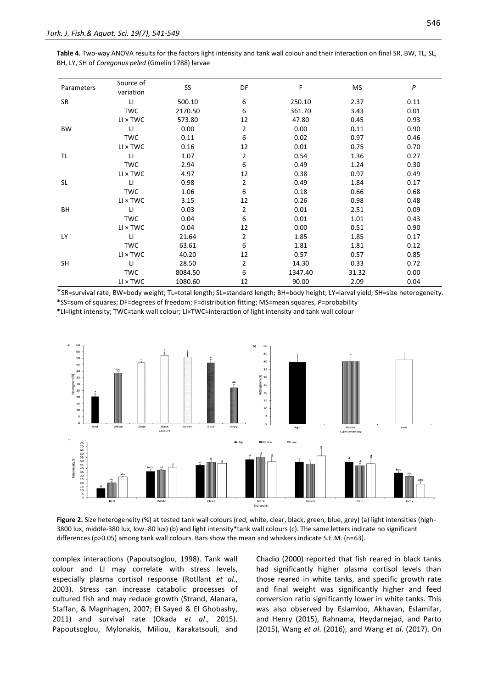| Table 4. Two-way ANOVA results for the factors light intensity and tank wall colour and their interaction on final SR, BW, TL, SL, |  |
|------------------------------------------------------------------------------------------------------------------------------------|--|
| BH, LY, SH of Coregonus peled (Gmelin 1788) larvae                                                                                 |  |

| Parameters | Source of<br>variation | SS <sub>1</sub> | DF             | F       | MS    | P    |
|------------|------------------------|-----------------|----------------|---------|-------|------|
| SR         | $\mathsf{L}\mathsf{L}$ | 500.10          | 6              | 250.10  | 2.37  | 0.11 |
|            | <b>TWC</b>             | 2170.50         | 6              | 361.70  | 3.43  | 0.01 |
|            | $LI \times TWC$        | 573.80          | 12             | 47.80   | 0.45  | 0.93 |
| <b>BW</b>  | $\mathsf{L}\mathsf{I}$ | 0.00            | 2              | 0.00    | 0.11  | 0.90 |
|            | <b>TWC</b>             | 0.11            | 6              | 0.02    | 0.97  | 0.46 |
|            | $LI \times TWC$        | 0.16            | 12             | 0.01    | 0.75  | 0.70 |
| TL         | $\mathsf{L}\mathsf{L}$ | 1.07            | 2              | 0.54    | 1.36  | 0.27 |
|            | <b>TWC</b>             | 2.94            | 6              | 0.49    | 1.24  | 0.30 |
|            | $LI \times TWC$        | 4.97            | 12             | 0.38    | 0.97  | 0.49 |
| <b>SL</b>  | LI.                    | 0.98            | $\overline{2}$ | 0.49    | 1.84  | 0.17 |
|            | <b>TWC</b>             | 1.06            | 6              | 0.18    | 0.66  | 0.68 |
|            | $LI \times TWC$        | 3.15            | 12             | 0.26    | 0.98  | 0.48 |
| BH         | П                      | 0.03            | 2              | 0.01    | 2.51  | 0.09 |
|            | <b>TWC</b>             | 0.04            | 6              | 0.01    | 1.01  | 0.43 |
|            | $LI \times TWC$        | 0.04            | 12             | 0.00    | 0.51  | 0.90 |
| LY         | $\mathsf{L}$           | 21.64           | 2              | 1.85    | 1.85  | 0.17 |
|            | <b>TWC</b>             | 63.61           | 6              | 1.81    | 1.81  | 0.12 |
|            | $LI \times TWC$        | 40.20           | 12             | 0.57    | 0.57  | 0.85 |
| <b>SH</b>  | $\mathsf{L}\mathsf{I}$ | 28.50           | 2              | 14.30   | 0.33  | 0.72 |
|            | <b>TWC</b>             | 8084.50         | 6              | 1347.40 | 31.32 | 0.00 |
|            | $LI \times TWC$        | 1080.60         | 12             | 90.00   | 2.09  | 0.04 |

\*SR=survival rate; BW=body weight; TL=total length; SL=standard length; BH=body height; LY=larval yield; SH=size heterogeneity. \*SS=sum of squares; DF=degrees of freedom; F=distribution fitting; MS=mean squares, *P*=probability

\*LI=light intensity; TWC=tank wall colour; LI×TWC=interaction of light intensity and tank wall colour



Figure 2. Size heterogeneity (%) at tested tank wall colours (red, white, clear, black, green, blue, grey) (a) light intensities (high-3800 lux, middle-380 lux, low–80 lux) (b) and light intensity\*tank wall colours (c). The same letters indicate no significant differences (p>0.05) among tank wall colours. Bars show the mean and whiskers indicate S.E.M. (n=63).

complex interactions (Papoutsoglou, 1998). Tank wall colour and LI may correlate with stress levels, especially plasma cortisol response (Rotllant *et al*., 2003). Stress can increase catabolic processes of cultured fish and may reduce growth (Strand, Alanara, Staffan, & Magnhagen, 2007; El Sayed & El Ghobashy, 2011) and survival rate (Okada *et al*., 2015). Papoutsoglou, Mylonakis, Miliou, Karakatsouli, and Chadio (2000) reported that fish reared in black tanks had significantly higher plasma cortisol levels than those reared in white tanks, and specific growth rate and final weight was significantly higher and feed conversion ratio significantly lower in white tanks. This was also observed by Eslamloo, Akhavan, Eslamifar, and Henry (2015), Rahnama, Heydarnejad, and Parto (2015), Wang *et al*. (2016), and Wang *et al*. (2017). On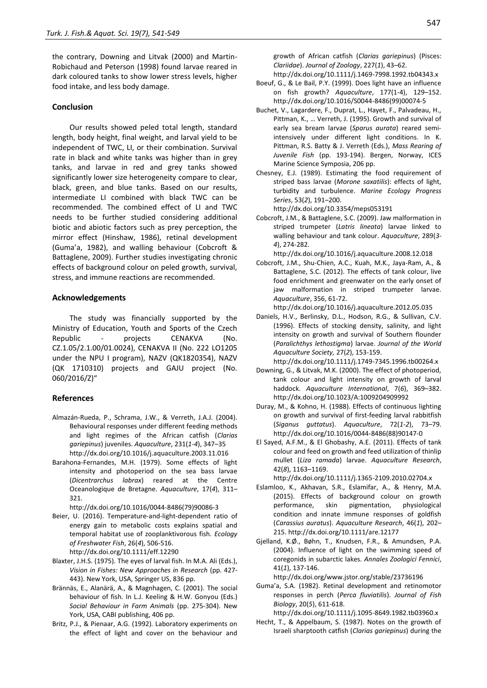the contrary, Downing and Litvak (2000) and Martin-Robichaud and Peterson (1998) found larvae reared in dark coloured tanks to show lower stress levels, higher food intake, and less body damage.

#### **Conclusion**

Our results showed peled total length, standard length, body height, final weight, and larval yield to be independent of TWC, LI, or their combination. Survival rate in black and white tanks was higher than in grey tanks, and larvae in red and grey tanks showed significantly lower size heterogeneity compare to clear, black, green, and blue tanks. Based on our results, intermediate LI combined with black TWC can be recommended. The combined effect of LI and TWC needs to be further studied considering additional biotic and abiotic factors such as prey perception, the mirror effect (Hinshaw, 1986), retinal development (Guma'a, 1982), and walling behaviour (Cobcroft & Battaglene, 2009). Further studies investigating chronic effects of background colour on peled growth, survival, stress, and immune reactions are recommended.

#### **Acknowledgements**

The study was financially supported by the Ministry of Education, Youth and Sports of the Czech Republic - projects CENAKVA (No. CZ.1.05/2.1.00/01.0024), CENAKVA II (No. 222 LO1205 under the NPU I program), NAZV (QK1820354), NAZV (QK 1710310) projects and GAJU project (No. 060/2016/Z)"

#### **References**

- Almazán-Rueda, P., Schrama, J.W., & Verreth, J.A.J. (2004). Behavioural responses under different feeding methods and light regimes of the African catfish (*Clarias gariepinus*) juveniles. *Aquaculture*, 231(*1-4*), 347–35 [http://dx.doi.org/10.1016/j.aquaculture.2003.11.016](https://doi.org/10.1016/j.aquaculture.2003.11.016)
- Barahona-Fernandes, M.H. (1979). Some effects of light intensity and photoperiod on the sea bass larvae (*Dicentrarchus labrax*) reared at the Centre Oceanologique de Bretagne. *Aquaculture*, 17(*4*), 311– 321.

http://dx.doi.org/10.1016/0044-8486(79)90086-3

- Beier, U. (2016). Temperature-and-light-dependent ratio of energy gain to metabolic costs explains spatial and temporal habitat use of zooplanktivorous fish. *Ecology of Freshwater Fish*, 26(*4*), 506-516. http://dx.doi.org/10.1111/eff.12290
- Blaxter, J.H.S. (1975). The eyes of larval fish. In M.A. Ali (Eds.), *Vision in Fishes: New Approaches in Research* (pp. 427- 443). New York, USA, Springer US, 836 pp.
- Brännäs, E., Alanärä, A., & Magnhagen, C. (2001). The social behaviour of fish. In L.J. Keeling & H.W. Gonyou (Eds.) *Social Behaviour in Farm Animals* (pp. 275-304). New York, USA, CABI publishing, 406 pp.
- Britz, P.J., & Pienaar, A.G. (1992). Laboratory experiments on the effect of light and cover on the behaviour and

growth of African catfish (*Clarias gariepinus*) (Pisces: *Clariidae*). *Journal of Zoology*, 227(*1*), 43–62.

- http://dx.doi.org/10.1111/j.1469-7998.1992.tb04343.x Boeuf, G., & Le Bail, P.Y. (1999). Does light have an influence on fish growth? *Aquaculture*, 177(1-4), 129–152. [http://dx.doi.org/10.1016/S0044-8486\(99\)00074-5](https://doi.org/10.1016/S0044-8486(99)00074-5)
- Buchet, V., Lagardere, F., Duprat, L., Hayet, F., Palvadeau, H., Pittman, K., … Verreth, J. (1995). Growth and survival of early sea bream larvae (*Sparus aurata*) reared semiintensively under different light conditions. In K. Pittman, R.S. Batty & J. Verreth (Eds.), *Mass Rearing of Juvenile Fish* (pp. 193-194). Bergen, Norway, ICES Marine Science Symposia, 206 pp.
- Chesney, E.J. (1989). Estimating the food requirement of striped bass larvae (*Morone saxatilis*): effects of light, turbidity and turbulence. *Marine Ecology Progress Series*, 53(*2*), 191–200.

http://dx.doi.org[/10.3354/meps053191](http://adsabs.harvard.edu/cgi-bin/nph-abs_connect?fforward=http://dx.doi.org/10.3354/meps053191)

Cobcroft, J.M., & Battaglene, S.C. (2009). Jaw malformation in striped trumpeter (*Latris lineata*) larvae linked to walling behaviour and tank colour. *Aquaculture*, 289(*3- 4*), 274-282.

http://dx.doi.org/10.1016/j.aquaculture.2008.12.018

Cobcroft, J.M., Shu-Chien, A.C., Kuah, M.K., Jaya-Ram, A., & Battaglene, S.C. (2012). The effects of tank colour, live food enrichment and greenwater on the early onset of jaw malformation in striped trumpeter larvae. *Aquaculture*, 356, 61-72.

http://dx.doi.org/10.1016/j.aquaculture.2012.05.035

Daniels, H.V., Berlinsky, D.L., Hodson, R.G., & Sullivan, C.V. (1996). Effects of stocking density, salinity, and light intensity on growth and survival of Southern flounder (*Paralichthys lethostigma*) larvae. *Journal of the World Aquaculture Society,* 27(*2*), 153-159.

http://dx.doi.org/10.1111/j.1749-7345.1996.tb00264.x

- Downing, G., & Litvak, M.K. (2000). The effect of photoperiod, tank colour and light intensity on growth of larval haddock. *Aquaculture International*, 7(*6*), 369–382. http://dx.doi.org/10.1023/A:1009204909992
- Duray, M., & Kohno, H. (1988). Effects of continuous lighting on growth and survival of first-feeding larval rabbitfish (*Siganus guttatus*). *Aquaculture*, 72(*1-2*), 73–79. http://dx.doi.org/10.1016/0044-8486(88)90147-0
- El Sayed, A.F.M., & El Ghobashy, A.E. (2011). Effects of tank colour and feed on growth and feed utilization of thinlip mullet (*Liza ramada*) larvae. *Aquaculture Research*, 42(*8*), 1163–1169.

http://dx.doi.org/10.1111/j.1365-2109.2010.02704.x

- Eslamloo, K., Akhavan, S.R., Eslamifar, A., & Henry, M.A. (2015). Effects of background colour on growth performance, skin pigmentation, physiological condition and innate immune responses of goldfish (*Carassius auratus*). *Aquaculture Research*, 46(*1*), 202– 215. http://dx.doi.org/10.1111/are.12177
- Gjelland, K.Ø., Bøhn, T., Knudsen, F.R., & Amundsen, P.A. (2004). Influence of light on the swimming speed of coregonids in subarctic lakes. *Annales Zoologici Fennici*, 41(*1*), 137-146.

http://dx.doi.org/www.jstor.org/stable/23736196

Guma'a, S.A. (1982). Retinal development and retinomotor responses in perch (*Perca fluviatilis*). *Journal of Fish Biology*, 20(*5*), 611-618.

http://dx.doi.org/10.1111/j.1095-8649.1982.tb03960.x

Hecht, T., & Appelbaum, S. (1987). Notes on the growth of Israeli sharptooth catfish (*Clarias gariepinus*) during the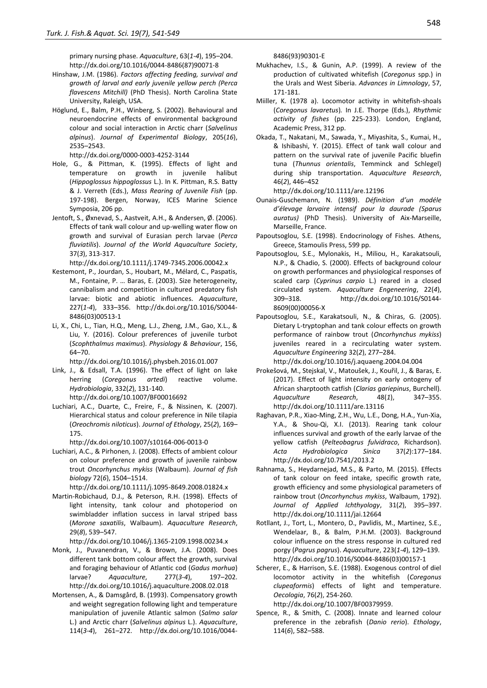primary nursing phase. *Aquaculture*, 63(*1-4*), 195–204. http://dx.doi.org/10.1016/0044-8486(87)90071-8

- Hinshaw, J.M. (1986). *Factors affecting feeding, survival and growth of larval and early juvenile yellow perch (Perca flavescens Mitchill)* (PhD Thesis). North Carolina State University, Raleigh, USA.
- Höglund, E., Balm, P.H., Winberg, S. (2002). Behavioural and neuroendocrine effects of environmental background colour and social interaction in Arctic charr (*Salvelinus alpinus*). *Journal of Experimental Biology*, 205(*16*), 2535–2543.

http://dx.doi.org/0000-0003-4252-3144

- Hole, G., & Pittman, K. (1995). Effects of light and temperature on growth in juvenile halibut (*Hippoglossus hippoglossus* L.). In K. Pittman, R.S. Batty & J. Verreth (Eds.), *Mass Rearing of Juvenile Fish* (pp. 197-198). Bergen, Norway, ICES Marine Science Symposia, 206 pp.
- Jentoft, S., Øxnevad, S., Aastveit, A.H., & Andersen, Ø. (2006). Effects of tank wall colour and up-welling water flow on growth and survival of Eurasian perch larvae (*Perca fluviatilis*). *Journal of the World Aquaculture Society*, 37(*3*), 313-317.

http://dx.doi.org/10.1111/j.1749-7345.2006.00042.x

- Kestemont, P., Jourdan, S., Houbart, M., Mélard, C., Paspatis, M., Fontaine, P. … Baras, E. (2003). Size heterogeneity, cannibalism and competition in cultured predatory fish larvae: biotic and abiotic influences. *Aquaculture*, 227(*1-4*), 333–356. http://dx.doi.org/10.1016/S0044- 8486(03)00513-1
- Li, X., Chi, L., Tian, H.Q., Meng, L.J., Zheng, J.M., Gao, X.L., & Liu, Y. (2016). Colour preferences of juvenile turbot (*Scophthalmus maximus*). *Physiology & Behaviour*, 156, 64–70.

http://dx.doi.org/10.1016/j.physbeh.2016.01.007

- Link, J., & Edsall, T.A. (1996). The effect of light on lake herring (*Coregonus artedi*) reactive volume. *Hydrobiologia*, 332(*2*), 131-140. http://dx.doi.org/10.1007/BF00016692
- Luchiari, A.C., Duarte, C., Freire, F., & Nissinen, K. (2007). Hierarchical status and colour preference in Nile tilapia (*Oreochromis niloticus*). *Journal of Ethology*, 25(*2*), 169– 175.

http://dx.doi.org/10.1007/s10164-006-0013-0

Luchiari, A.C., & Pirhonen, J. (2008). Effects of ambient colour on colour preference and growth of juvenile rainbow trout *Oncorhynchus mykiss* (Walbaum). *Journal of fish biology* 72(*6*), 1504–1514.

http://dx.doi.org/10.1111/j.1095-8649.2008.01824.x

Martin-Robichaud, D.J., & Peterson, R.H. (1998). Effects of light intensity, tank colour and photoperiod on swimbladder inflation success in larval striped bass (*Morone saxatilis*, Walbaum). *Aquaculture Research*, 29(*8*), 539–547.

http://dx.doi.org/10.1046/j.1365-2109.1998.00234.x

- Monk, J., Puvanendran, V., & Brown, J.A. (2008). Does different tank bottom colour affect the growth, survival and foraging behaviour of Atlantic cod (*Gadus morhua*) larvae? *Aquaculture*, 277(*3-4*), 197–202. http://dx.doi.org/10.1016/j.aquaculture.2008.02.018
- Mortensen, A., & Damsgård, B. (1993). Compensatory growth and weight segregation following light and temperature manipulation of juvenile Atlantic salmon (*Salmo salar*  L.) and Arctic charr (*Salvelinus alpinus* L.). *Aquaculture*, 114(*3-4*), 261–272. [http://dx.doi.org/10.1016/0044-](https://doi.org/10.1016/0044-8486(93)90301-E)

[8486\(93\)90301-E](https://doi.org/10.1016/0044-8486(93)90301-E)

- Mukhachev, I.S., & Gunin, A.P. (1999). A review of the production of cultivated whitefish (*Coregonus* spp.) in the Urals and West Siberia. *Advances in Limnology*, 57, 171-181.
- Miiller, K. (1978 a). Locomotor activity in whitefish-shoals (*Coregonus lavaretus*)*.* In J.E. Thorpe (Eds.), *Rhythmic activity of fishes* (pp. 225-233). London, England, Academic Press, 312 pp.
- Okada, T., Nakatani, M., Sawada, Y., Miyashita, S., Kumai, H., & Ishibashi, Y. (2015). Effect of tank wall colour and pattern on the survival rate of juvenile Pacific bluefin tuna (*Thunnus orientalis*, Temminck and Schlegel) during ship transportation. *Aquaculture Research*, 46(*2*), 446–452

http://dx.doi.org/10.1111/are.12196

- Ounais-Guschemann, N. (1989). *Définition d'un modéle d'élevage larvaire intensif pour la daurade (Sparus auratus)* (PhD Thesis). University of Aix-Marseille, Marseille, France.
- Papoutsoglou, S.E. (1998). Endocrinology of Fishes. Athens, Greece, Stamoulis Press, 599 pp.
- Papoutsoglou, S.E., Mylonakis, H., Miliou, H., Karakatsouli, N.P., & Chadio, S. (2000). Effects of background colour on growth performances and physiological responses of scaled carp (*Cyprinus carpio* L.) reared in a closed circulated system. *Aquaculture Engeneering*, 22(*4*), 309–318. http://dx.doi.org/10.1016/S0144- 8609(00)00056-X
- Papoutsoglou, S.E., Karakatsouli, N., & Chiras, G. (2005). Dietary L-tryptophan and tank colour effects on growth performance of rainbow trout (*Oncorhynchus mykiss*) juveniles reared in a recirculating water system. *Aquaculture Engineering* 32(*2*), 277–284. http://dx.doi.org/10.1016/j.aquaeng.2004.04.004
- Prokešová, M., Stejskal, V., Matoušek, J., Kouřil, J., & Baras, E. (2017). Effect of light intensity on early ontogeny of African sharptooth catfish (*Clarias gariepinus*, Burchell). *Aquaculture Research*, 48(*1*), 347–355. http://dx.doi.org/10.1111/are.13116
- Raghavan, P.R., Xiao-Ming, Z.H., Wu, L.E., Dong, H.A., Yun-Xia, Y.A., & Shou-Qi, X.I. (2013). Rearing tank colour influences survival and growth of the early larvae of the yellow catfish (*Pelteobagrus fulvidraco*, Richardson). *Acta Hydrobiologica Sinica* 37(*2*):177–184. http://dx.doi.org/10.7541/2013.2
- Rahnama, S., Heydarnejad, M.S., & Parto, M. (2015). Effects of tank colour on feed intake, specific growth rate, growth efficiency and some physiological parameters of rainbow trout (*Oncorhynchus mykiss*, Walbaum, 1792). *Journal of Applied Ichthyology*, 31(*2*), 395–397. http://dx.doi.org/10.1111/jai.12664
- Rotllant, J., Tort, L., Montero, D., Pavlidis, M., Martinez, S.E., Wendelaar, B., & Balm, P.H.M. (2003). Background colour influence on the stress response in cultured red porgy (*Pagrus pagrus*). *Aquaculture*, 223(*1-4*), 129–139. http://dx.doi.org/10.1016/S0044-8486(03)00157-1
- Scherer, E., & Harrison, S.E. (1988). Exogenous control of diel locomotor activity in the whitefish (*Coregonus clupeaformis*) effects of light and temperature. *Oecologia*, 76(*2*), 254-260. http://dx.doi.org/10.1007/BF00379959.
- Spence, R., & Smith, C. (2008). Innate and learned colour preference in the zebrafish (*Danio rerio*). *Ethology*, 114(*6*), 582–588.